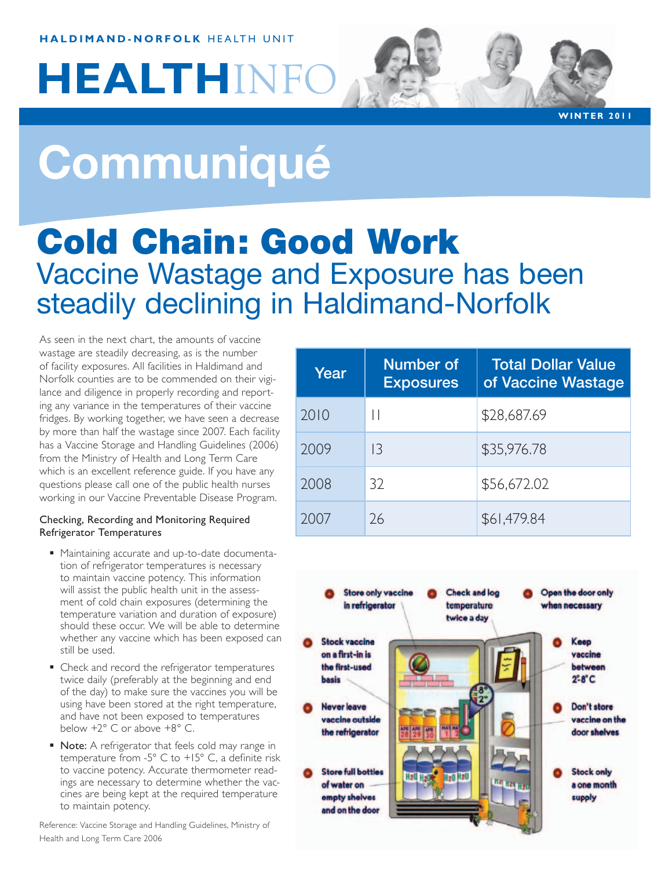#### **haldimand-norfolk** HEALTH UNIT

# **HEALTH**INFO

**WIN T ER 2011**

# **Communiqué**

# Cold Chain: Good Work Vaccine Wastage and Exposure has been steadily declining in Haldimand-Norfolk

As seen in the next chart, the amounts of vaccine wastage are steadily decreasing, as is the number of facility exposures. All facilities in Haldimand and Norfolk counties are to be commended on their vigilance and diligence in properly recording and reporting any variance in the temperatures of their vaccine fridges. By working together, we have seen a decrease by more than half the wastage since 2007. Each facility has a Vaccine Storage and Handling Guidelines (2006) from the Ministry of Health and Long Term Care which is an excellent reference guide. If you have any questions please call one of the public health nurses working in our Vaccine Preventable Disease Program.

#### Checking, Recording and Monitoring Required Refrigerator Temperatures

- Maintaining accurate and up-to-date documentation of refrigerator temperatures is necessary to maintain vaccine potency. This information will assist the public health unit in the assessment of cold chain exposures (determining the temperature variation and duration of exposure) should these occur. We will be able to determine whether any vaccine which has been exposed can still be used.
- Check and record the refrigerator temperatures twice daily (preferably at the beginning and end of the day) to make sure the vaccines you will be using have been stored at the right temperature, and have not been exposed to temperatures below +2° C or above +8° C.
- Note: A refrigerator that feels cold may range in temperature from -5° C to +15° C, a definite risk to vaccine potency. Accurate thermometer readings are necessary to determine whether the vaccines are being kept at the required temperature to maintain potency.

Reference: Vaccine Storage and Handling Guidelines, Ministry of Health and Long Term Care 2006

| Year | <b>Number of</b><br><b>Exposures</b> | <b>Total Dollar Value</b><br>of Vaccine Wastage |
|------|--------------------------------------|-------------------------------------------------|
| 2010 |                                      | \$28,687.69                                     |
| 2009 | $\overline{3}$                       | \$35,976.78                                     |
| 2008 | 32                                   | \$56,672.02                                     |
| 700/ | 26                                   | \$61,479.84                                     |

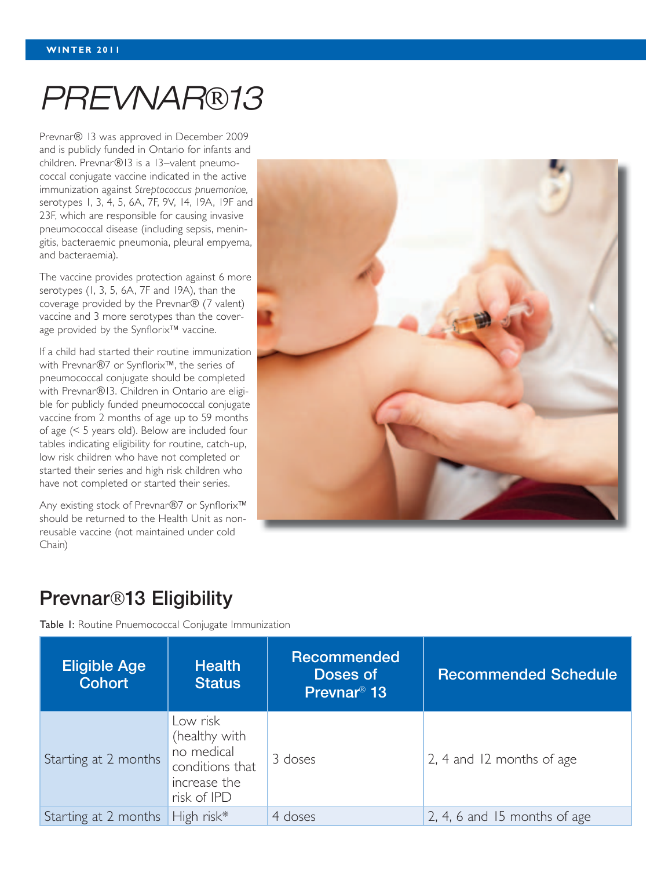# *PREVNAR13*

Prevnar® 13 was approved in December 2009 and is publicly funded in Ontario for infants and children. Prevnar®13 is a 13–valent pneumococcal conjugate vaccine indicated in the active immunization against *Streptococcus pnuemoniae,* serotypes 1, 3, 4, 5, 6A, 7F, 9V, 14, 19A, 19F and 23F, which are responsible for causing invasive pneumococcal disease (including sepsis, meningitis, bacteraemic pneumonia, pleural empyema, and bacteraemia).

The vaccine provides protection against 6 more serotypes (1, 3, 5, 6A, 7F and 19A), than the coverage provided by the Prevnar® (7 valent) vaccine and 3 more serotypes than the coverage provided by the Synflorix™ vaccine.

If a child had started their routine immunization with Prevnar®7 or Synflorix™, the series of pneumococcal conjugate should be completed with Prevnar®13. Children in Ontario are eligible for publicly funded pneumococcal conjugate vaccine from 2 months of age up to 59 months of age (< 5 years old). Below are included four tables indicating eligibility for routine, catch-up, low risk children who have not completed or started their series and high risk children who have not completed or started their series.

Any existing stock of Prevnar®7 or Synflorix™ should be returned to the Health Unit as nonreusable vaccine (not maintained under cold Chain)



### Prevnar<sup>®</sup>13 Eligibility

Table I: Routine Pnuemococcal Conjugate Immunization

| <b>Eligible Age</b><br><b>Cohort</b> | <b>Health</b><br><b>Status</b>                                                            | Recommended<br>Doses of<br>Prevnar <sup>®</sup> 13 | <b>Recommended Schedule</b>  |
|--------------------------------------|-------------------------------------------------------------------------------------------|----------------------------------------------------|------------------------------|
| Starting at 2 months                 | Low risk<br>(healthy with<br>no medical<br>conditions that<br>increase the<br>risk of IPD | 3 doses                                            | 2, 4 and 12 months of age    |
| Starting at 2 months                 | High risk*                                                                                | 4 doses                                            | 2, 4, 6 and 15 months of age |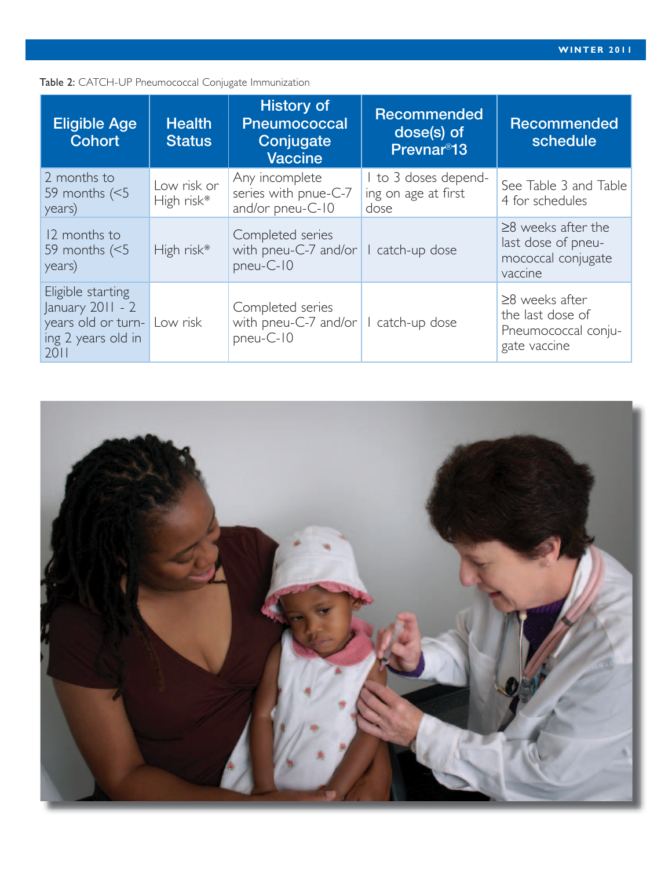#### Table 2: CATCH-UP Pneumococcal Conjugate Immunization

| <b>Eligible Age</b><br><b>Cohort</b>                                                        | <b>Health</b><br><b>Status</b> | <b>History of</b><br><b>Pneumococcal</b><br>Conjugate<br><b>Vaccine</b> | <b>Recommended</b><br>dose(s) of<br>Prevnar <sup>®</sup> 13 | <b>Recommended</b><br>schedule                                                  |
|---------------------------------------------------------------------------------------------|--------------------------------|-------------------------------------------------------------------------|-------------------------------------------------------------|---------------------------------------------------------------------------------|
| 2 months to<br>59 months $(5)$<br>years)                                                    | Low risk or<br>High risk*      | Any incomplete<br>series with pnue-C-7<br>and/or pneu-C-10              | I to 3 doses depend-<br>ing on age at first<br>dose         | See Table 3 and Table<br>4 for schedules                                        |
| 12 months to<br>59 months $(<5$<br>years)                                                   | High risk*                     | Completed series<br>with pneu-C-7 and/or<br>pneu-C-10                   | catch-up dose                                               | $\geq$ 8 weeks after the<br>last dose of pneu-<br>mococcal conjugate<br>vaccine |
| Eligible starting<br>January $2011 - 2$<br>years old or turn-<br>ing 2 years old in<br>2011 | Low risk                       | Completed series<br>with pneu-C-7 and/or<br>pneu-C-10                   | catch-up dose                                               | $\geq$ 8 weeks after<br>the last dose of<br>Pneumococcal conju-<br>gate vaccine |

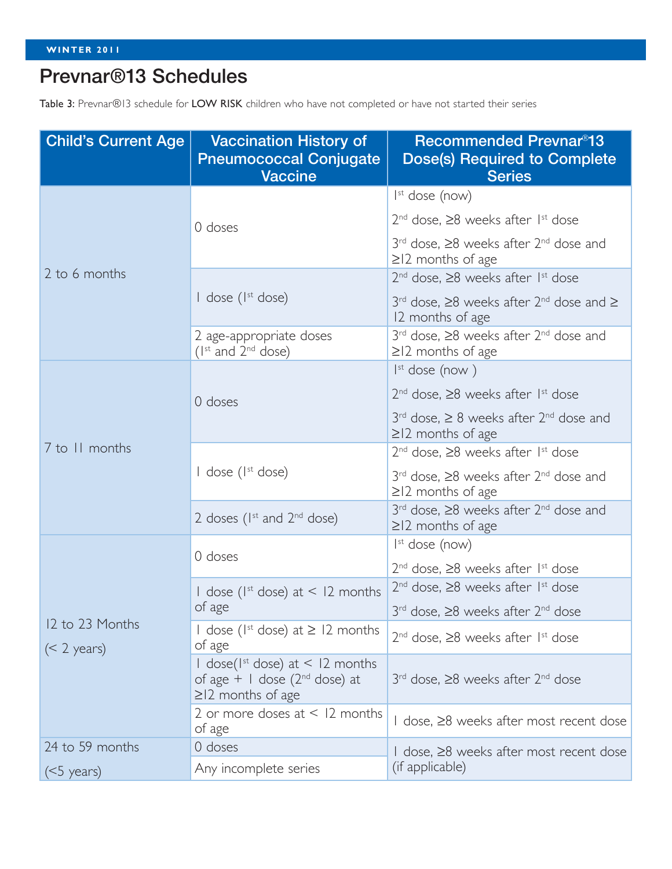## Prevnar®13 Schedules

Table 3: Prevnar®13 schedule for LOW RISK children who have not completed or have not started their series

| <b>Child's Current Age</b> | <b>Vaccination History of</b><br><b>Pneumococcal Conjugate</b><br><b>Vaccine</b>                                        | <b>Recommended Prevnar<sup>®</sup>13</b><br><b>Dose(s) Required to Complete</b><br><b>Series</b> |  |
|----------------------------|-------------------------------------------------------------------------------------------------------------------------|--------------------------------------------------------------------------------------------------|--|
|                            |                                                                                                                         | $Ist$ dose (now)                                                                                 |  |
|                            | 0 doses                                                                                                                 | $2nd$ dose, $\geq 8$ weeks after 1 <sup>st</sup> dose                                            |  |
|                            |                                                                                                                         | $3rd$ dose, $\geq 8$ weeks after $2nd$ dose and<br>$\geq$  2 months of age                       |  |
| 2 to 6 months              |                                                                                                                         | $2^{nd}$ dose, $\geq 8$ weeks after 1st dose                                                     |  |
|                            | $\vert$ dose ( $\vert$ <sup>st</sup> dose)                                                                              | $3^{rd}$ dose, $\geq 8$ weeks after $2^{nd}$ dose and $\geq$<br>12 months of age                 |  |
|                            | 2 age-appropriate doses<br>$(Ist$ and $2nd$ dose)                                                                       | $3rd$ dose, $\geq 8$ weeks after $2nd$ dose and<br>$\geq$  2 months of age                       |  |
|                            |                                                                                                                         | $Ist$ dose (now)                                                                                 |  |
|                            | 0 doses                                                                                                                 | $2nd$ dose, $\geq 8$ weeks after 1 <sup>st</sup> dose                                            |  |
|                            |                                                                                                                         | $3^{rd}$ dose, $\geq 8$ weeks after $2^{nd}$ dose and<br>$\geq$ 12 months of age                 |  |
| 7 to 11 months             |                                                                                                                         | $2nd$ dose, $\geq 8$ weeks after 1 <sup>st</sup> dose                                            |  |
|                            | $\vert$ dose ( $\vert$ <sup>st</sup> dose)                                                                              | $3rd$ dose, $\geq 8$ weeks after $2nd$ dose and<br>$\geq$  2 months of age                       |  |
|                            | 2 doses ( $I^{st}$ and $2^{nd}$ dose)                                                                                   | 3 <sup>rd</sup> dose, ≥8 weeks after 2 <sup>nd</sup> dose and<br>$\geq$ 12 months of age         |  |
|                            | 0 doses                                                                                                                 | $Ist$ dose (now)                                                                                 |  |
|                            |                                                                                                                         | $2nd$ dose, $\geq 8$ weeks after $1st$ dose                                                      |  |
|                            | I dose ( $I^{st}$ dose) at < 12 months<br>of age                                                                        | $2nd$ dose, $\geq 8$ weeks after 1 <sup>st</sup> dose                                            |  |
| 12 to 23 Months            |                                                                                                                         | $3rd$ dose, $\geq 8$ weeks after $2nd$ dose                                                      |  |
| $(< 2 \text{ years})$      | I dose (I <sup>st</sup> dose) at $\geq$ 12 months<br>of age                                                             | $2nd$ dose, $\geq 8$ weeks after 1 <sup>st</sup> dose                                            |  |
|                            | $\frac{1}{2}$ dose( $\frac{1}{3}$ dose) at < 12 months<br>of age $+$   dose ( $2nd$ dose) at<br>$\geq$ 12 months of age | $3rd$ dose, $\geq 8$ weeks after $2nd$ dose                                                      |  |
|                            | 2 or more doses at $\leq$ 12 months<br>of age                                                                           | I dose, ≥8 weeks after most recent dose                                                          |  |
| 24 to 59 months            | 0 doses                                                                                                                 | I dose, ≥8 weeks after most recent dose                                                          |  |
| $(5 \text{ years})$        | Any incomplete series                                                                                                   | (if applicable)                                                                                  |  |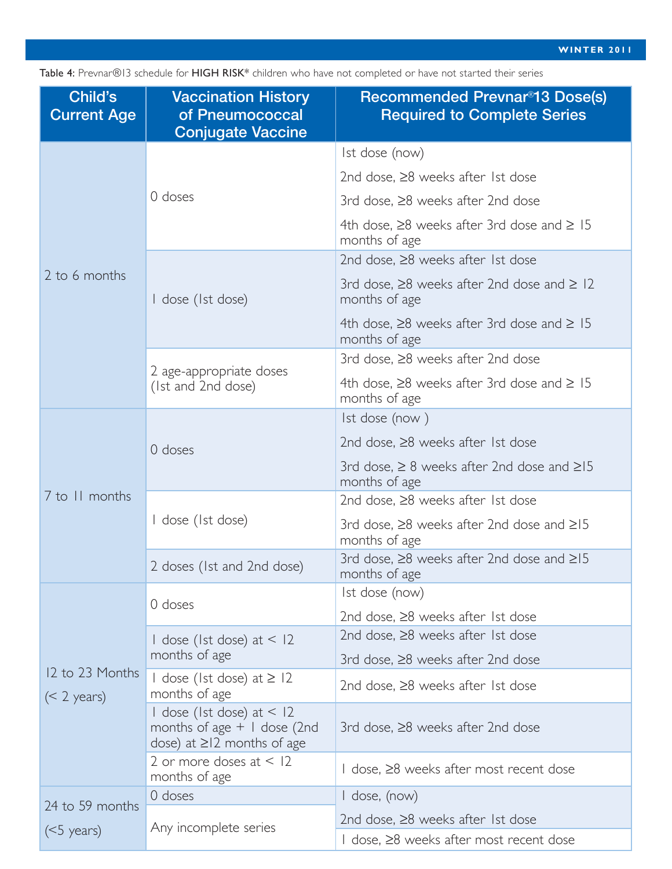Table 4: Prevnar®13 schedule for HIGH RISK\* children who have not completed or have not started their series

| Child's<br><b>Current Age</b> | <b>Vaccination History</b><br>of Pneumococcal<br><b>Conjugate Vaccine</b>                        | <b>Recommended Prevnar<sup>®</sup>13 Dose(s)</b><br><b>Required to Complete Series</b> |  |
|-------------------------------|--------------------------------------------------------------------------------------------------|----------------------------------------------------------------------------------------|--|
|                               |                                                                                                  | Ist dose (now)                                                                         |  |
|                               |                                                                                                  | 2nd dose, $\geq$ 8 weeks after 1st dose                                                |  |
|                               | 0 doses                                                                                          | 3rd dose, ≥8 weeks after 2nd dose                                                      |  |
|                               |                                                                                                  | 4th dose, $\geq$ 8 weeks after 3rd dose and $\geq$ 15<br>months of age                 |  |
| 2 to 6 months                 |                                                                                                  | 2nd dose, ≥8 weeks after 1st dose                                                      |  |
|                               | I dose (Ist dose)                                                                                | 3rd dose, $\geq$ 8 weeks after 2nd dose and $\geq$ 12<br>months of age                 |  |
|                               |                                                                                                  | 4th dose, $\geq$ 8 weeks after 3rd dose and $\geq$ 15<br>months of age                 |  |
|                               | 2 age-appropriate doses<br>(Ist and 2nd dose)                                                    | 3rd dose, ≥8 weeks after 2nd dose                                                      |  |
|                               |                                                                                                  | 4th dose, $\geq$ 8 weeks after 3rd dose and $\geq$ 15<br>months of age                 |  |
|                               | 0 doses                                                                                          | Ist dose (now)                                                                         |  |
|                               |                                                                                                  | 2nd dose, $\geq$ 8 weeks after 1st dose                                                |  |
|                               |                                                                                                  | 3rd dose, $\geq 8$ weeks after 2nd dose and $\geq 15$<br>months of age                 |  |
| 7 to 11 months                |                                                                                                  | 2nd dose, $\geq$ 8 weeks after 1st dose                                                |  |
|                               | I dose (Ist dose)                                                                                | 3rd dose, $\geq$ 8 weeks after 2nd dose and $\geq$ 15<br>months of age                 |  |
|                               | 2 doses (1st and 2nd dose)                                                                       | 3rd dose, $\geq$ 8 weeks after 2nd dose and $\geq$ 15<br>months of age                 |  |
|                               | 0 doses                                                                                          | Ist dose (now)                                                                         |  |
|                               |                                                                                                  | 2nd dose, $\geq$ 8 weeks after 1st dose                                                |  |
|                               | I dose (Ist dose) at $\leq$ 12                                                                   | 2nd dose, $\geq$ 8 weeks after 1st dose                                                |  |
| 12 to 23 Months               | months of age                                                                                    | 3rd dose, ≥8 weeks after 2nd dose                                                      |  |
| $(< 2 \text{ years})$         | I dose (Ist dose) at $\geq$ 12<br>months of age                                                  | 2nd dose, $\geq$ 8 weeks after 1st dose                                                |  |
|                               | I dose (Ist dose) at $<$ 12<br>months of age $+$ I dose (2nd<br>dose) at $\geq$ 12 months of age | 3rd dose, $\geq$ 8 weeks after 2nd dose                                                |  |
|                               | 2 or more doses at $<$ 12<br>months of age                                                       | I dose, ≥8 weeks after most recent dose                                                |  |
| 24 to 59 months               | 0 doses                                                                                          | $1$ dose, (now)                                                                        |  |
|                               | Any incomplete series                                                                            | 2nd dose, $\geq$ 8 weeks after 1st dose                                                |  |
| $(5 \text{ years})$           |                                                                                                  | I dose, ≥8 weeks after most recent dose                                                |  |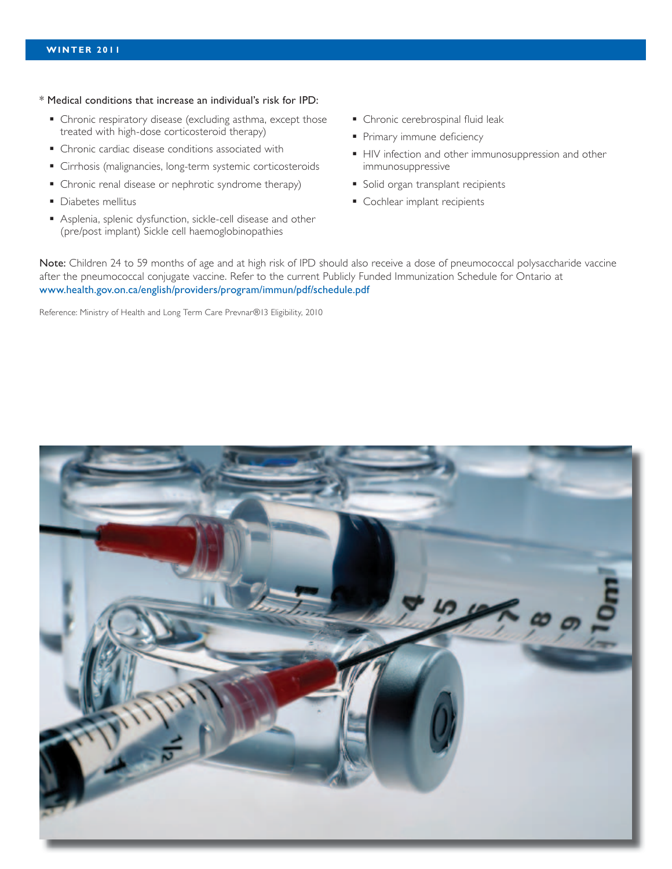- \* Medical conditions that increase an individual's risk for IPD:
	- Chronic respiratory disease (excluding asthma, except those treated with high-dose corticosteroid therapy)
	- Chronic cardiac disease conditions associated with
	- Cirrhosis (malignancies, long-term systemic corticosteroids
	- Chronic renal disease or nephrotic syndrome therapy)
	- **Diabetes mellitus**
	- Asplenia, splenic dysfunction, sickle-cell disease and other (pre/post implant) Sickle cell haemoglobinopathies
- **Chronic cerebrospinal fluid leak**
- Primary immune deficiency
- HIV infection and other immunosuppression and other immunosuppressive
- **Solid organ transplant recipients**
- Cochlear implant recipients

Note: Children 24 to 59 months of age and at high risk of IPD should also receive a dose of pneumococcal polysaccharide vaccine after the pneumococcal conjugate vaccine. Refer to the current Publicly Funded Immunization Schedule for Ontario at www.health.gov.on.ca/english/providers/program/immun/pdf/schedule.pdf

Reference: Ministry of Health and Long Term Care Prevnar®13 Eligibility, 2010

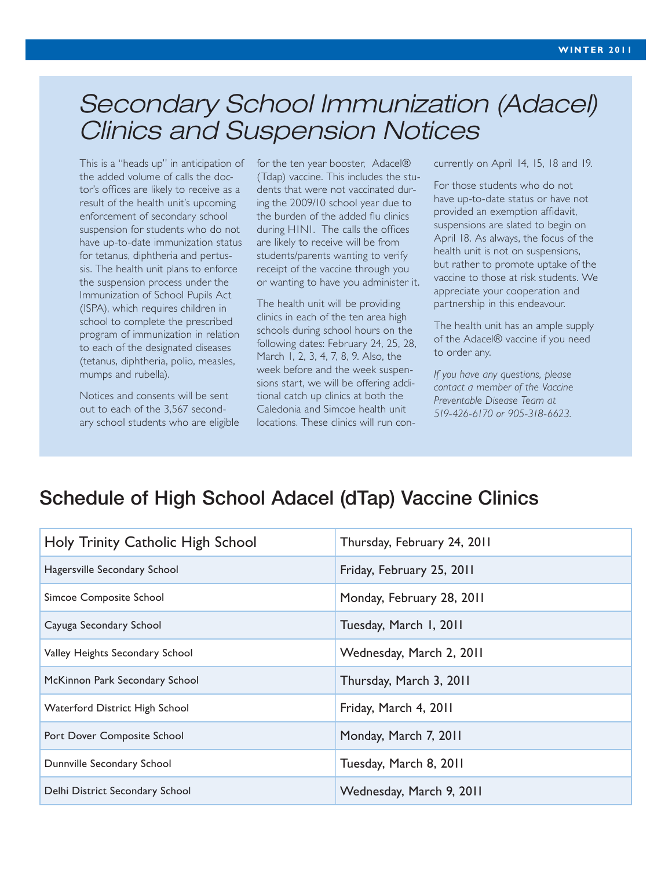# *Secondary School Immunization (Adacel) Clinics and Suspension Notices*

This is a "heads up" in anticipation of the added volume of calls the doctor's offices are likely to receive as a result of the health unit's upcoming enforcement of secondary school suspension for students who do not have up-to-date immunization status for tetanus, diphtheria and pertussis. The health unit plans to enforce the suspension process under the Immunization of School Pupils Act (ISPA), which requires children in school to complete the prescribed program of immunization in relation to each of the designated diseases (tetanus, diphtheria, polio, measles, mumps and rubella).

Notices and consents will be sent out to each of the 3,567 secondary school students who are eligible for the ten year booster, Adacel® (Tdap) vaccine. This includes the students that were not vaccinated during the 2009/10 school year due to the burden of the added flu clinics during H1N1. The calls the offices are likely to receive will be from students/parents wanting to verify receipt of the vaccine through you or wanting to have you administer it.

The health unit will be providing clinics in each of the ten area high schools during school hours on the following dates: February 24, 25, 28, March 1, 2, 3, 4, 7, 8, 9. Also, the week before and the week suspensions start, we will be offering additional catch up clinics at both the Caledonia and Simcoe health unit locations. These clinics will run concurrently on April 14, 15, 18 and 19.

For those students who do not have up-to-date status or have not provided an exemption affidavit, suspensions are slated to begin on April 18. As always, the focus of the health unit is not on suspensions, but rather to promote uptake of the vaccine to those at risk students. We appreciate your cooperation and partnership in this endeavour.

The health unit has an ample supply of the Adacel® vaccine if you need to order any.

*If you have any questions, please contact a member of the Vaccine Preventable Disease Team at 519-426-6170 or 905-318-6623.*

## Schedule of High School Adacel (dTap) Vaccine Clinics

| Holy Trinity Catholic High School | Thursday, February 24, 2011 |  |
|-----------------------------------|-----------------------------|--|
| Hagersville Secondary School      | Friday, February 25, 2011   |  |
| Simcoe Composite School           | Monday, February 28, 2011   |  |
| Cayuga Secondary School           | Tuesday, March I, 2011      |  |
| Valley Heights Secondary School   | Wednesday, March 2, 2011    |  |
| McKinnon Park Secondary School    | Thursday, March 3, 2011     |  |
| Waterford District High School    | Friday, March 4, 2011       |  |
| Port Dover Composite School       | Monday, March 7, 2011       |  |
| Dunnville Secondary School        | Tuesday, March 8, 2011      |  |
| Delhi District Secondary School   | Wednesday, March 9, 2011    |  |